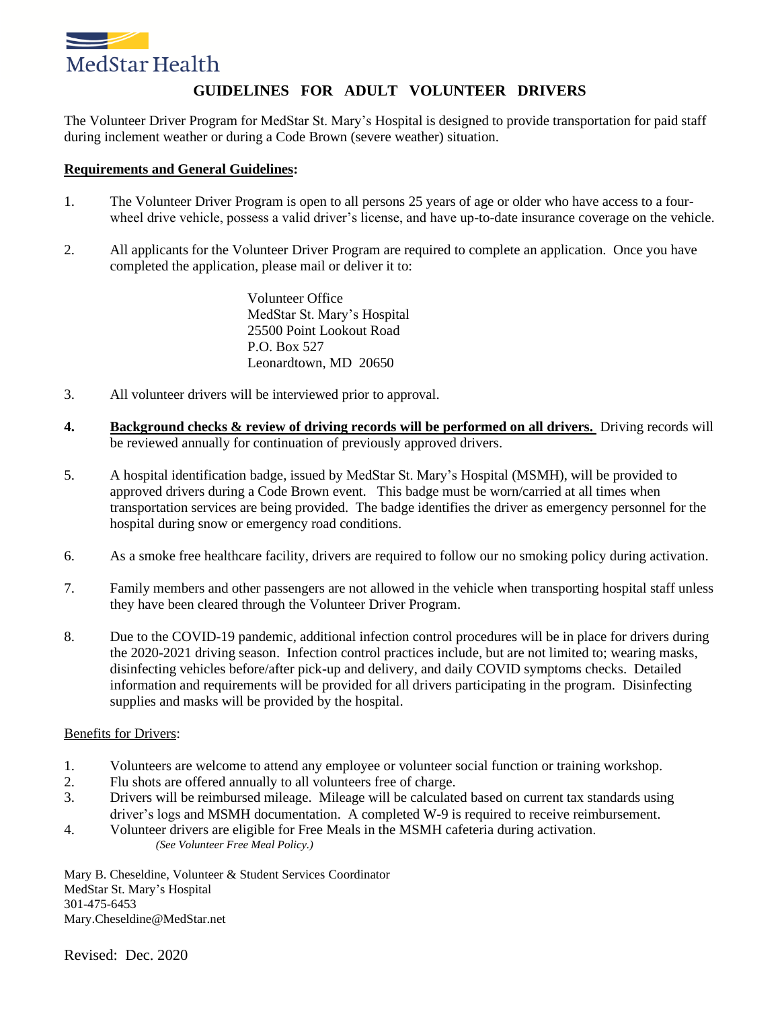

## **GUIDELINES FOR ADULT VOLUNTEER DRIVERS**

The Volunteer Driver Program for MedStar St. Mary's Hospital is designed to provide transportation for paid staff during inclement weather or during a Code Brown (severe weather) situation.

#### **Requirements and General Guidelines:**

- 1. The Volunteer Driver Program is open to all persons 25 years of age or older who have access to a fourwheel drive vehicle, possess a valid driver's license, and have up-to-date insurance coverage on the vehicle.
- 2. All applicants for the Volunteer Driver Program are required to complete an application. Once you have completed the application, please mail or deliver it to:

Volunteer Office MedStar St. Mary's Hospital 25500 Point Lookout Road P.O. Box 527 Leonardtown, MD 20650

- 3. All volunteer drivers will be interviewed prior to approval.
- **4. Background checks & review of driving records will be performed on all drivers.** Driving records will be reviewed annually for continuation of previously approved drivers.
- 5. A hospital identification badge, issued by MedStar St. Mary's Hospital (MSMH), will be provided to approved drivers during a Code Brown event. This badge must be worn/carried at all times when transportation services are being provided. The badge identifies the driver as emergency personnel for the hospital during snow or emergency road conditions.
- 6. As a smoke free healthcare facility, drivers are required to follow our no smoking policy during activation.
- 7. Family members and other passengers are not allowed in the vehicle when transporting hospital staff unless they have been cleared through the Volunteer Driver Program.
- 8. Due to the COVID-19 pandemic, additional infection control procedures will be in place for drivers during the 2020-2021 driving season. Infection control practices include, but are not limited to; wearing masks, disinfecting vehicles before/after pick-up and delivery, and daily COVID symptoms checks. Detailed information and requirements will be provided for all drivers participating in the program. Disinfecting supplies and masks will be provided by the hospital.

#### Benefits for Drivers:

- 1. Volunteers are welcome to attend any employee or volunteer social function or training workshop.
- 2. Flu shots are offered annually to all volunteers free of charge.
- 3. Drivers will be reimbursed mileage. Mileage will be calculated based on current tax standards using driver's logs and MSMH documentation. A completed W-9 is required to receive reimbursement.
- 4. Volunteer drivers are eligible for Free Meals in the MSMH cafeteria during activation. *(See Volunteer Free Meal Policy.)*

Mary B. Cheseldine, Volunteer & Student Services Coordinator MedStar St. Mary's Hospital 301-475-6453 Mary.Cheseldine@MedStar.net

Revised: Dec. 2020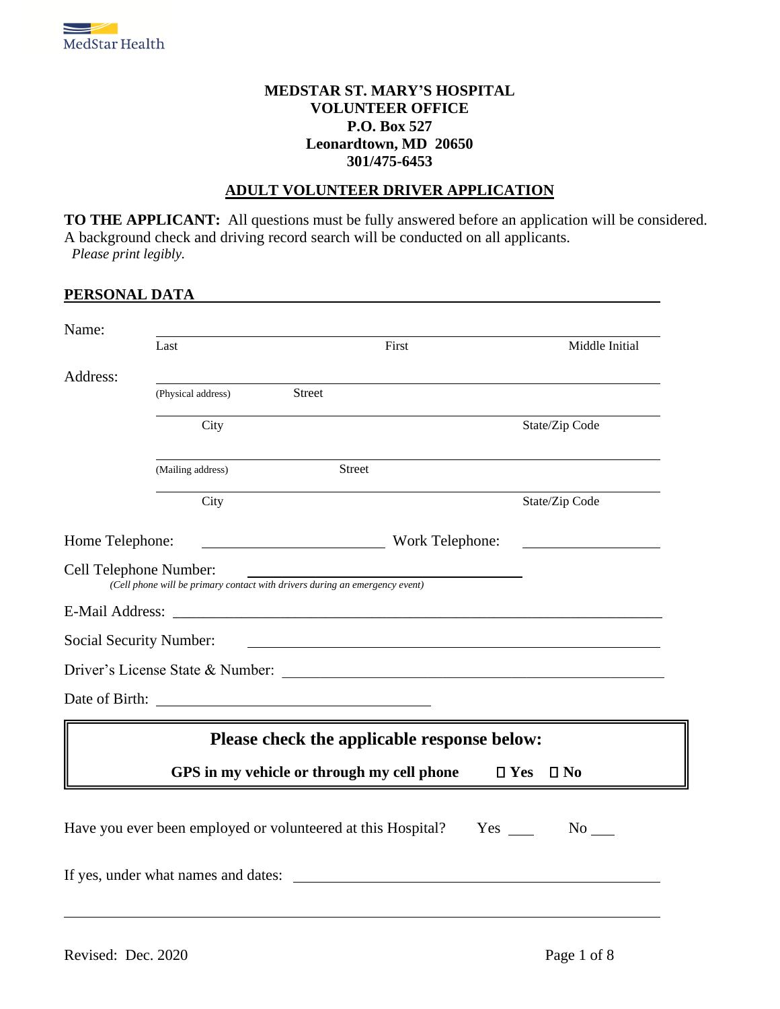

#### **MEDSTAR ST. MARY'S HOSPITAL VOLUNTEER OFFICE P.O. Box 527 Leonardtown, MD 20650 301/475-6453**

#### **ADULT VOLUNTEER DRIVER APPLICATION**

**TO THE APPLICANT:** All questions must be fully answered before an application will be considered. A background check and driving record search will be conducted on all applicants. *Please print legibly.*

#### **PERSONAL DATA**

| Name:                   |                                  |                                                                             |                                   |
|-------------------------|----------------------------------|-----------------------------------------------------------------------------|-----------------------------------|
|                         | Last                             | First                                                                       | Middle Initial                    |
| Address:                |                                  |                                                                             |                                   |
|                         | (Physical address)               | <b>Street</b>                                                               |                                   |
|                         | City                             |                                                                             | State/Zip Code                    |
|                         | (Mailing address)                | <b>Street</b>                                                               |                                   |
|                         | City                             |                                                                             | State/Zip Code                    |
| Home Telephone:         |                                  | <b>Example 2018</b> Work Telephone:                                         |                                   |
| Cell Telephone Number:  |                                  | (Cell phone will be primary contact with drivers during an emergency event) |                                   |
|                         |                                  |                                                                             |                                   |
| Social Security Number: |                                  |                                                                             |                                   |
|                         | Driver's License State & Number: |                                                                             |                                   |
|                         |                                  |                                                                             |                                   |
|                         |                                  | Please check the applicable response below:                                 |                                   |
|                         |                                  | GPS in my vehicle or through my cell phone                                  | $\square$ Yes<br>$\square$ No     |
|                         |                                  | Have you ever been employed or volunteered at this Hospital?                | $Yes \_\_$<br>$No$ <sub>___</sub> |
|                         |                                  | If yes, under what names and dates:                                         |                                   |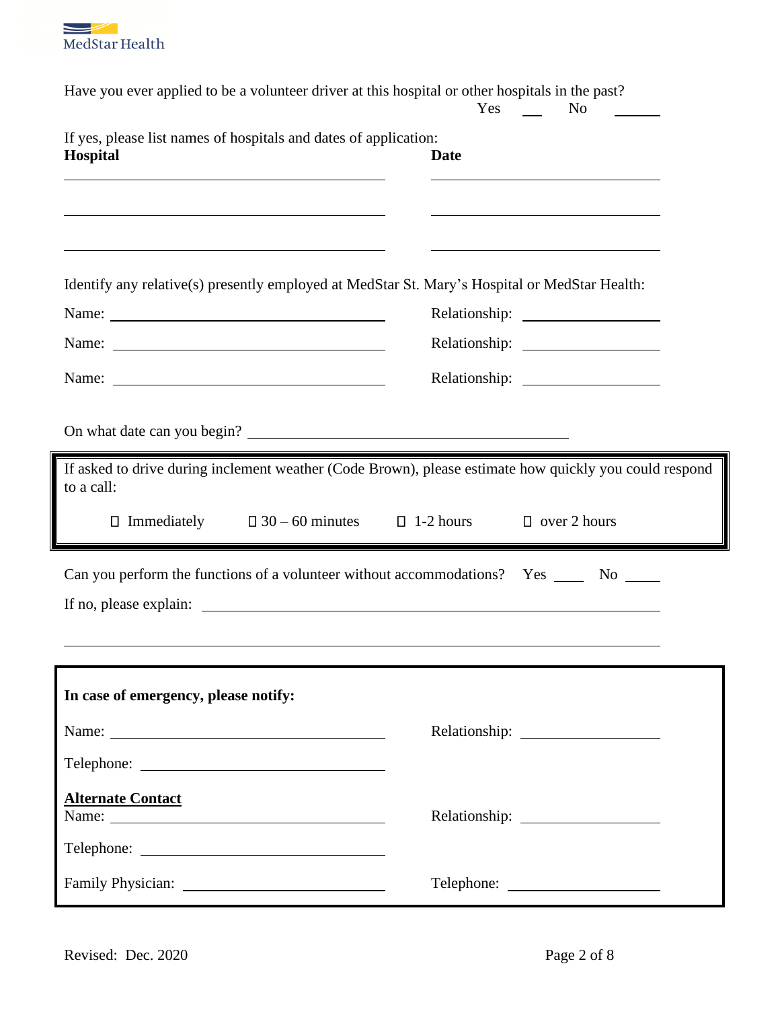

| Have you ever applied to be a volunteer driver at this hospital or other hospitals in the past?                                                                                                                                                                                                         | <b>Yes</b><br>N <sub>0</sub>                        |  |
|---------------------------------------------------------------------------------------------------------------------------------------------------------------------------------------------------------------------------------------------------------------------------------------------------------|-----------------------------------------------------|--|
| If yes, please list names of hospitals and dates of application:<br>Hospital                                                                                                                                                                                                                            | <b>Date</b>                                         |  |
| Identify any relative(s) presently employed at MedStar St. Mary's Hospital or MedStar Health:                                                                                                                                                                                                           | <u> 1989 - Johann Barbara, martxa alemaniar arg</u> |  |
|                                                                                                                                                                                                                                                                                                         |                                                     |  |
| On what date can you begin?<br>If asked to drive during inclement weather (Code Brown), please estimate how quickly you could respond<br>to a call:<br>$\Box$ Immediately $\Box$ 30 – 60 minutes $\Box$ 1-2 hours<br>Can you perform the functions of a volunteer without accommodations? Yes ______ No | $\Box$ over 2 hours                                 |  |
|                                                                                                                                                                                                                                                                                                         |                                                     |  |
| In case of emergency, please notify:                                                                                                                                                                                                                                                                    |                                                     |  |
|                                                                                                                                                                                                                                                                                                         |                                                     |  |
| <b>Alternate Contact</b><br>Name: 2008. 2008. 2010. 2010. 2010. 2010. 2010. 2010. 2010. 2010. 2010. 2010. 2010. 2010. 2010. 2010. 2010. 20                                                                                                                                                              |                                                     |  |
|                                                                                                                                                                                                                                                                                                         | Telephone:                                          |  |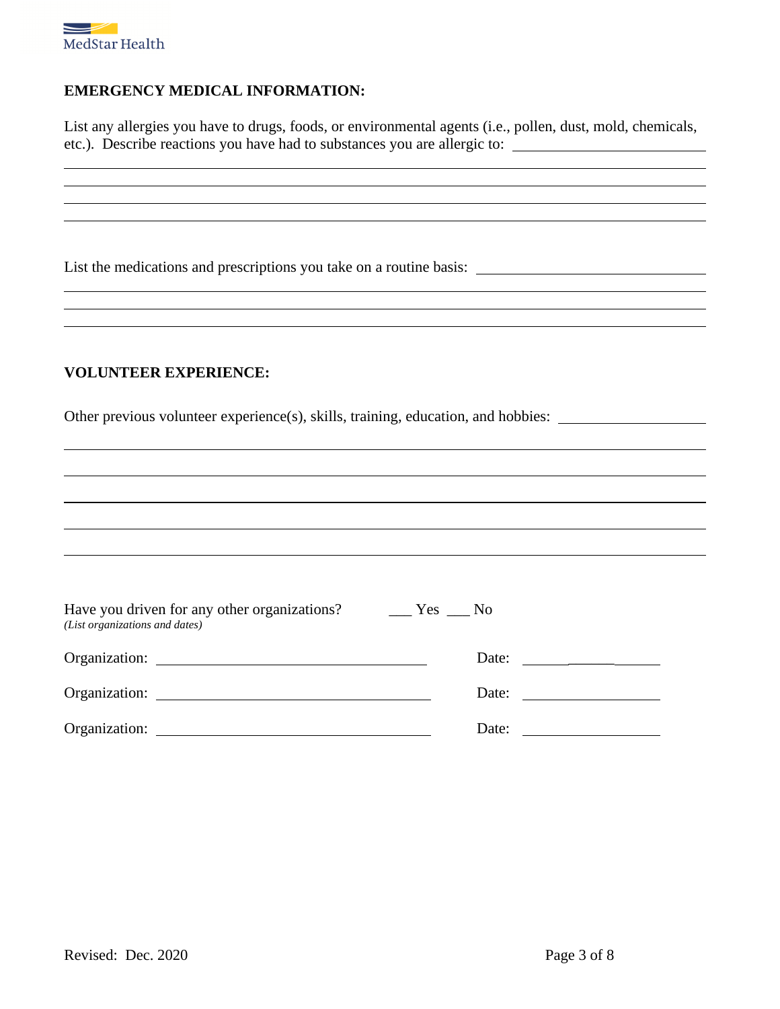

### **EMERGENCY MEDICAL INFORMATION:**

List any allergies you have to drugs, foods, or environmental agents (i.e., pollen, dust, mold, chemicals, etc.). Describe reactions you have had to substances you are allergic to:

<u> 1989 - Johann Stoff, deutscher Stoffen und der Stoffen und der Stoffen und der Stoffen und der Stoffen und de</u>

List the medications and prescriptions you take on a routine basis:

#### **VOLUNTEER EXPERIENCE:**

Other previous volunteer experience(s), skills, training, education, and hobbies:

| Have you driven for any other organizations?<br>(List organizations and dates)                                                                                                                                                 | $\equiv$ Yes $\equiv$ No |                              |
|--------------------------------------------------------------------------------------------------------------------------------------------------------------------------------------------------------------------------------|--------------------------|------------------------------|
|                                                                                                                                                                                                                                |                          | Date: $\qquad \qquad$        |
| Organization:                                                                                                                                                                                                                  |                          | Date: $\qquad \qquad \qquad$ |
| Organization: New York Changes and Security and Security and Security and Security and Security and Security and Security and Security and Security and Security and Security and Security and Security and Security and Secur | Date:                    |                              |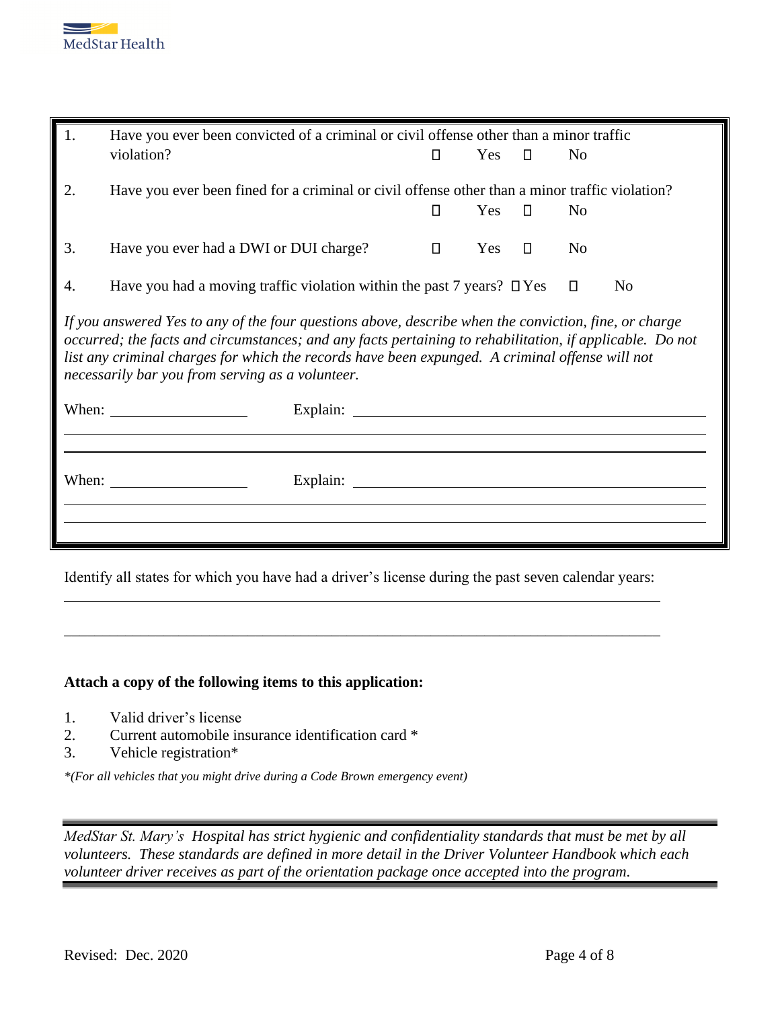

| 1.<br>Have you ever been convicted of a criminal or civil offense other than a minor traffic |                                                                                                                                                                                                                                                                                                                                                                          |        |     |        |                |    |
|----------------------------------------------------------------------------------------------|--------------------------------------------------------------------------------------------------------------------------------------------------------------------------------------------------------------------------------------------------------------------------------------------------------------------------------------------------------------------------|--------|-----|--------|----------------|----|
|                                                                                              | violation?                                                                                                                                                                                                                                                                                                                                                               | $\Box$ | Yes | $\Box$ | N <sub>0</sub> |    |
| 2.                                                                                           | Have you ever been fined for a criminal or civil offense other than a minor traffic violation?                                                                                                                                                                                                                                                                           | П      | Yes | $\Box$ | N <sub>0</sub> |    |
| 3.                                                                                           | Have you ever had a DWI or DUI charge?                                                                                                                                                                                                                                                                                                                                   | $\Box$ | Yes | $\Box$ | N <sub>0</sub> |    |
| 4.                                                                                           | Have you had a moving traffic violation within the past 7 years? $\Box$ Yes                                                                                                                                                                                                                                                                                              |        |     |        | $\Box$         | No |
|                                                                                              | If you answered Yes to any of the four questions above, describe when the conviction, fine, or charge<br>occurred; the facts and circumstances; and any facts pertaining to rehabilitation, if applicable. Do not<br>list any criminal charges for which the records have been expunged. A criminal offense will not<br>necessarily bar you from serving as a volunteer. |        |     |        |                |    |
|                                                                                              | When: $\frac{1}{\sqrt{1-\frac{1}{2}} \cdot \frac{1}{2}}$                                                                                                                                                                                                                                                                                                                 |        |     |        |                |    |
|                                                                                              |                                                                                                                                                                                                                                                                                                                                                                          |        |     |        |                |    |
|                                                                                              | When: $\frac{1}{\sqrt{1-\frac{1}{2}} \cdot \frac{1}{2}}$                                                                                                                                                                                                                                                                                                                 |        |     |        |                |    |
|                                                                                              |                                                                                                                                                                                                                                                                                                                                                                          |        |     |        |                |    |
|                                                                                              |                                                                                                                                                                                                                                                                                                                                                                          |        |     |        |                |    |

Identify all states for which you have had a driver's license during the past seven calendar years:

\_\_\_\_\_\_\_\_\_\_\_\_\_\_\_\_\_\_\_\_\_\_\_\_\_\_\_\_\_\_\_\_\_\_\_\_\_\_\_\_\_\_\_\_\_\_\_\_\_\_\_\_\_\_\_\_\_\_\_\_\_\_\_\_\_\_\_\_\_\_\_\_\_\_\_\_\_\_

#### **Attach a copy of the following items to this application:**

- 1. Valid driver's license
- 2. Current automobile insurance identification card \*
- 3. Vehicle registration\*

*\*(For all vehicles that you might drive during a Code Brown emergency event)*

*MedStar St. Mary's Hospital has strict hygienic and confidentiality standards that must be met by all volunteers. These standards are defined in more detail in the Driver Volunteer Handbook which each volunteer driver receives as part of the orientation package once accepted into the program.*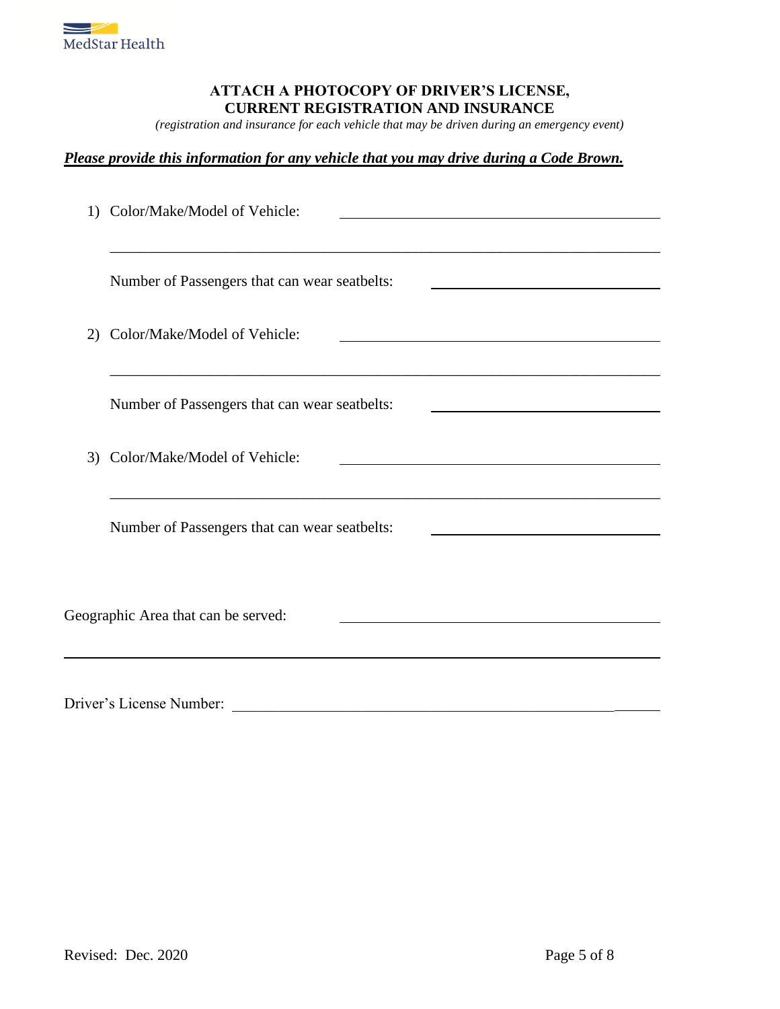

### **ATTACH A PHOTOCOPY OF DRIVER'S LICENSE, CURRENT REGISTRATION AND INSURANCE**

*(registration and insurance for each vehicle that may be driven during an emergency event)*

### *Please provide this information for any vehicle that you may drive during a Code Brown.*

| 1) | Color/Make/Model of Vehicle:                  |
|----|-----------------------------------------------|
|    | Number of Passengers that can wear seatbelts: |
| 2) | Color/Make/Model of Vehicle:                  |
|    | Number of Passengers that can wear seatbelts: |
| 3) | Color/Make/Model of Vehicle:                  |
|    | Number of Passengers that can wear seatbelts: |
|    | Geographic Area that can be served:           |
|    | Driver's License Number:                      |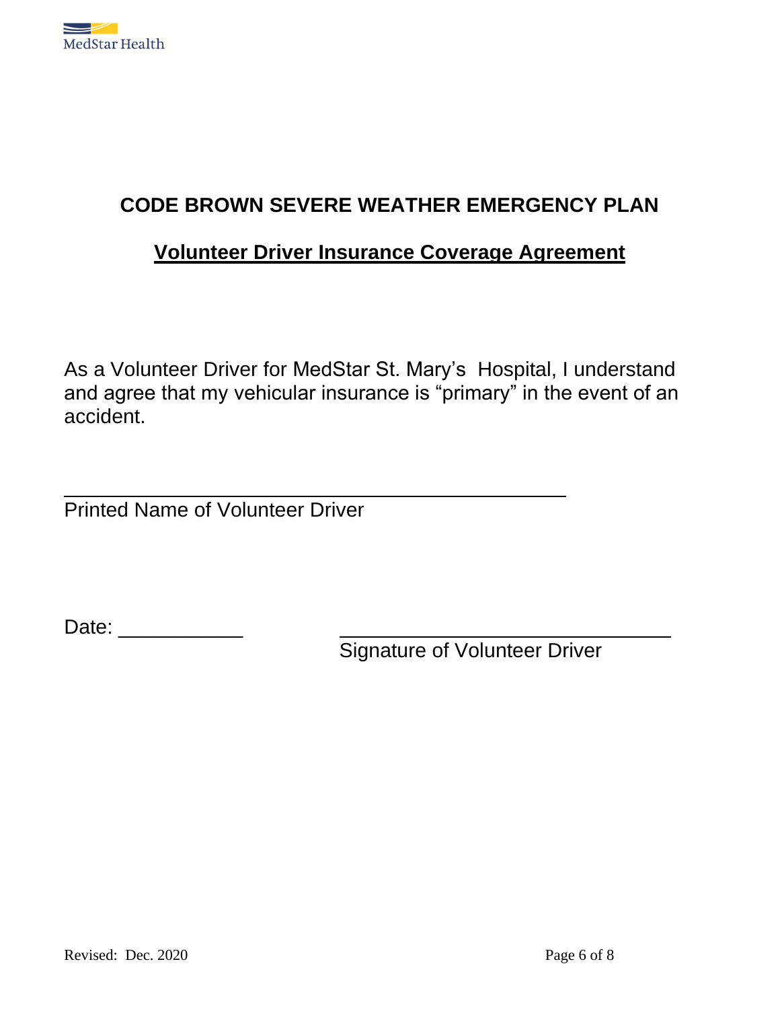

# **CODE BROWN SEVERE WEATHER EMERGENCY PLAN**

## **Volunteer Driver Insurance Coverage Agreement**

As a Volunteer Driver for MedStar St. Mary's Hospital, I understand and agree that my vehicular insurance is "primary" in the event of an accident.

Printed Name of Volunteer Driver

Date: \_\_\_\_\_\_\_\_\_\_\_\_\_\_\_\_

Signature of Volunteer Driver

\_\_\_\_\_\_\_\_\_\_\_\_\_\_\_\_\_\_\_\_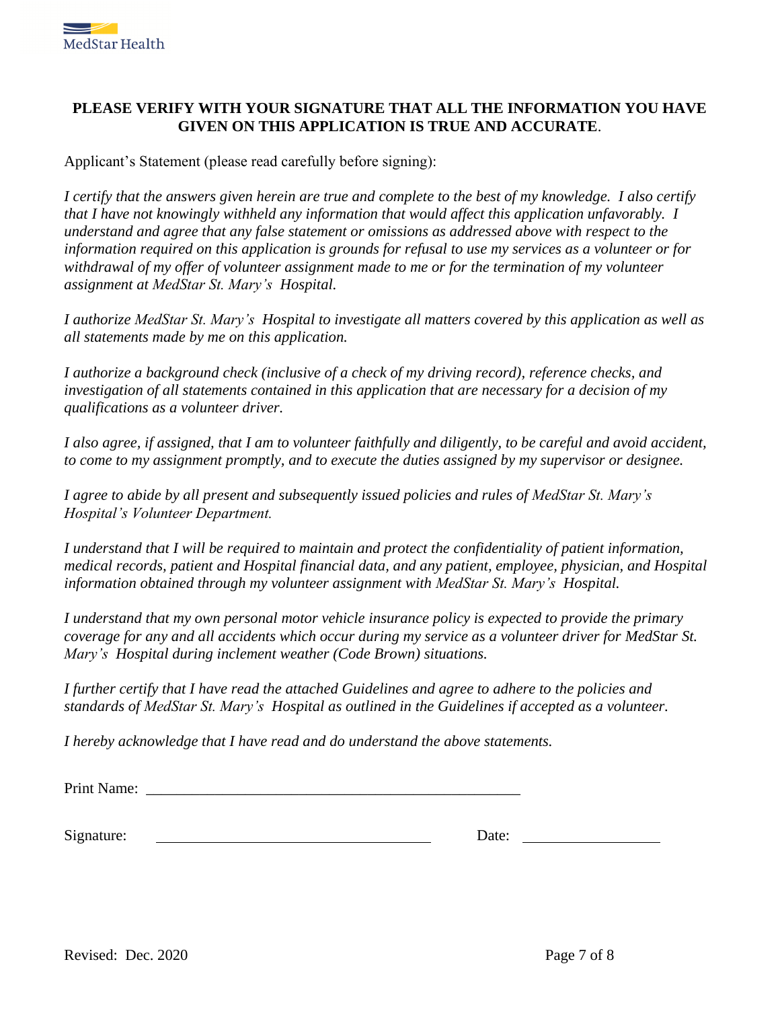

### **PLEASE VERIFY WITH YOUR SIGNATURE THAT ALL THE INFORMATION YOU HAVE GIVEN ON THIS APPLICATION IS TRUE AND ACCURATE**.

Applicant's Statement (please read carefully before signing):

*I certify that the answers given herein are true and complete to the best of my knowledge. I also certify that I have not knowingly withheld any information that would affect this application unfavorably. I understand and agree that any false statement or omissions as addressed above with respect to the information required on this application is grounds for refusal to use my services as a volunteer or for withdrawal of my offer of volunteer assignment made to me or for the termination of my volunteer assignment at MedStar St. Mary's Hospital.*

*I authorize MedStar St. Mary's Hospital to investigate all matters covered by this application as well as all statements made by me on this application.*

*I authorize a background check (inclusive of a check of my driving record), reference checks, and investigation of all statements contained in this application that are necessary for a decision of my qualifications as a volunteer driver.*

*I also agree, if assigned, that I am to volunteer faithfully and diligently, to be careful and avoid accident, to come to my assignment promptly, and to execute the duties assigned by my supervisor or designee.*

*I agree to abide by all present and subsequently issued policies and rules of MedStar St. Mary's Hospital's Volunteer Department.*

*I understand that I will be required to maintain and protect the confidentiality of patient information, medical records, patient and Hospital financial data, and any patient, employee, physician, and Hospital information obtained through my volunteer assignment with MedStar St. Mary's Hospital.*

*I understand that my own personal motor vehicle insurance policy is expected to provide the primary coverage for any and all accidents which occur during my service as a volunteer driver for MedStar St. Mary's Hospital during inclement weather (Code Brown) situations.*

*I further certify that I have read the attached Guidelines and agree to adhere to the policies and standards of MedStar St. Mary's Hospital as outlined in the Guidelines if accepted as a volunteer.*

*I hereby acknowledge that I have read and do understand the above statements.*

Print Name:

Signature: Date: Date: Date: Date: Date: Date: Date: Date: Date: Date: Date: Date: Date: Date: Date: Date: Date: Date: Date: Date: Date: Date: Date: Date: Date: Date: Date: Date: Date: Date: Date: Date: Date: Date: Date: D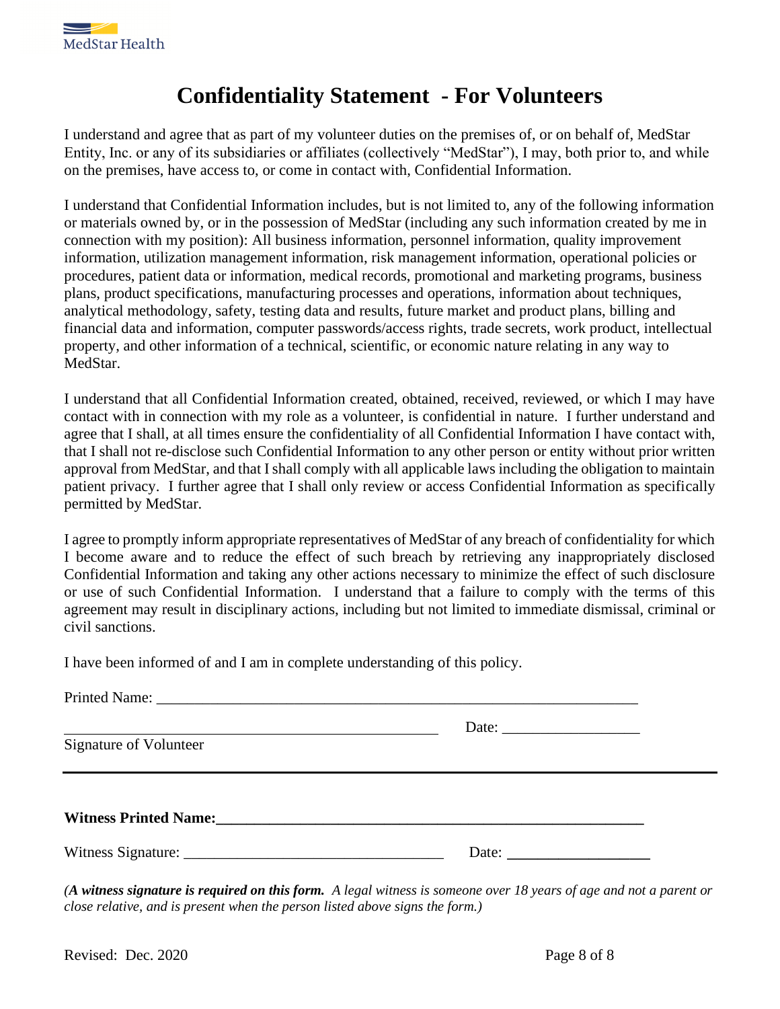

# **Confidentiality Statement - For Volunteers**

I understand and agree that as part of my volunteer duties on the premises of, or on behalf of, MedStar Entity, Inc. or any of its subsidiaries or affiliates (collectively "MedStar"), I may, both prior to, and while on the premises, have access to, or come in contact with, Confidential Information.

I understand that Confidential Information includes, but is not limited to, any of the following information or materials owned by, or in the possession of MedStar (including any such information created by me in connection with my position): All business information, personnel information, quality improvement information, utilization management information, risk management information, operational policies or procedures, patient data or information, medical records, promotional and marketing programs, business plans, product specifications, manufacturing processes and operations, information about techniques, analytical methodology, safety, testing data and results, future market and product plans, billing and financial data and information, computer passwords/access rights, trade secrets, work product, intellectual property, and other information of a technical, scientific, or economic nature relating in any way to MedStar.

I understand that all Confidential Information created, obtained, received, reviewed, or which I may have contact with in connection with my role as a volunteer, is confidential in nature. I further understand and agree that I shall, at all times ensure the confidentiality of all Confidential Information I have contact with, that I shall not re-disclose such Confidential Information to any other person or entity without prior written approval from MedStar, and that I shall comply with all applicable laws including the obligation to maintain patient privacy. I further agree that I shall only review or access Confidential Information as specifically permitted by MedStar.

I agree to promptly inform appropriate representatives of MedStar of any breach of confidentiality for which I become aware and to reduce the effect of such breach by retrieving any inappropriately disclosed Confidential Information and taking any other actions necessary to minimize the effect of such disclosure or use of such Confidential Information. I understand that a failure to comply with the terms of this agreement may result in disciplinary actions, including but not limited to immediate dismissal, criminal or civil sanctions.

I have been informed of and I am in complete understanding of this policy.

| Date: $\qquad \qquad$ |
|-----------------------|
|                       |

*(A witness signature is required on this form. A legal witness is someone over 18 years of age and not a parent or close relative, and is present when the person listed above signs the form.)*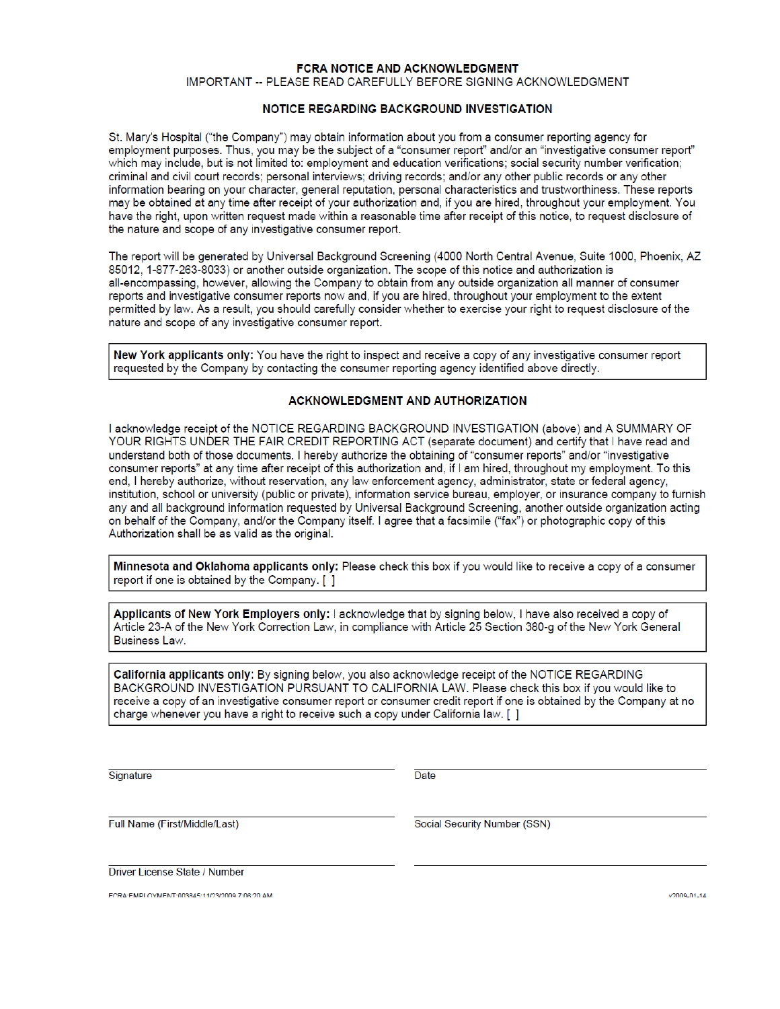#### **FCRA NOTICE AND ACKNOWLEDGMENT**

IMPORTANT -- PLEASE READ CAREFULLY BEFORE SIGNING ACKNOWLEDGMENT

#### NOTICE REGARDING BACKGROUND INVESTIGATION

St. Mary's Hospital ("the Company") may obtain information about you from a consumer reporting agency for employment purposes. Thus, you may be the subject of a "consumer report" and/or an "investigative consumer report" which may include, but is not limited to: employment and education verifications; social security number verification; criminal and civil court records; personal interviews; driving records; and/or any other public records or any other information bearing on your character, general reputation, personal characteristics and trustworthiness. These reports may be obtained at any time after receipt of your authorization and, if you are hired, throughout your employment. You have the right, upon written request made within a reasonable time after receipt of this notice, to request disclosure of the nature and scope of any investigative consumer report.

The report will be generated by Universal Background Screening (4000 North Central Avenue, Suite 1000, Phoenix, AZ 85012, 1-877-263-8033) or another outside organization. The scope of this notice and authorization is all-encompassing, however, allowing the Company to obtain from any outside organization all manner of consumer reports and investigative consumer reports now and, if you are hired, throughout your employment to the extent permitted by law. As a result, you should carefully consider whether to exercise your right to request disclosure of the nature and scope of any investigative consumer report.

New York applicants only: You have the right to inspect and receive a copy of any investigative consumer report requested by the Company by contacting the consumer reporting agency identified above directly.

#### **ACKNOWLEDGMENT AND AUTHORIZATION**

I acknowledge receipt of the NOTICE REGARDING BACKGROUND INVESTIGATION (above) and A SUMMARY OF YOUR RIGHTS UNDER THE FAIR CREDIT REPORTING ACT (separate document) and certify that I have read and understand both of those documents. I hereby authorize the obtaining of "consumer reports" and/or "investigative consumer reports" at any time after receipt of this authorization and, if I am hired, throughout my employment. To this end, I hereby authorize, without reservation, any law enforcement agency, administrator, state or federal agency, institution, school or university (public or private), information service bureau, employer, or insurance company to furnish any and all background information requested by Universal Background Screening, another outside organization acting on behalf of the Company, and/or the Company itself. I agree that a facsimile ("fax") or photographic copy of this Authorization shall be as valid as the original.

Minnesota and Oklahoma applicants only: Please check this box if you would like to receive a copy of a consumer report if one is obtained by the Company. [ ]

Applicants of New York Employers only: I acknowledge that by signing below, I have also received a copy of Article 23-A of the New York Correction Law, in compliance with Article 25 Section 380-g of the New York General Business Law.

California applicants only: By signing below, you also acknowledge receipt of the NOTICE REGARDING BACKGROUND INVESTIGATION PURSUANT TO CALIFORNIA LAW. Please check this box if you would like to receive a copy of an investigative consumer report or consumer credit report if one is obtained by the Company at no charge whenever you have a right to receive such a copy under California law. [ ]

Signature

Date

Full Name (First/Middle/Last)

Social Security Number (SSN)

Driver License State / Number

FCRA:FMPLOYMENT:003845:11/23/2009 7:06:20 AM